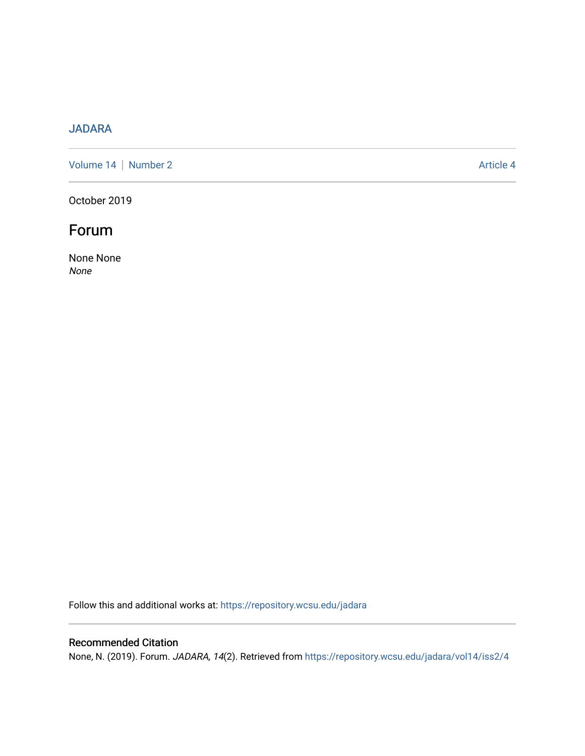## [JADARA](https://repository.wcsu.edu/jadara)

[Volume 14](https://repository.wcsu.edu/jadara/vol14) | [Number 2](https://repository.wcsu.edu/jadara/vol14/iss2) Article 4

October 2019

# Forum

None None None

Follow this and additional works at: [https://repository.wcsu.edu/jadara](https://repository.wcsu.edu/jadara?utm_source=repository.wcsu.edu%2Fjadara%2Fvol14%2Fiss2%2F4&utm_medium=PDF&utm_campaign=PDFCoverPages)

### Recommended Citation

None, N. (2019). Forum. JADARA, 14(2). Retrieved from [https://repository.wcsu.edu/jadara/vol14/iss2/4](https://repository.wcsu.edu/jadara/vol14/iss2/4?utm_source=repository.wcsu.edu%2Fjadara%2Fvol14%2Fiss2%2F4&utm_medium=PDF&utm_campaign=PDFCoverPages)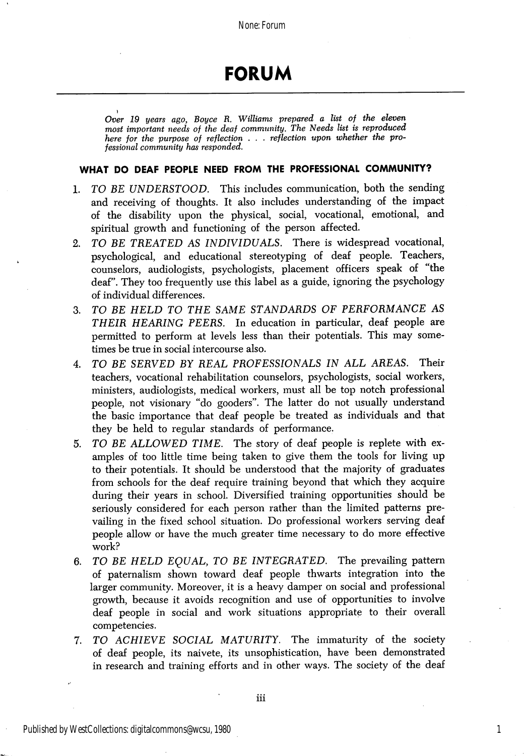# FORUM

Over 19 years ago, Boyce R. Williams prepared a list of the eleven most important needs of the deaf community. The Needs list is reproduced here for the purpose of reflection . . . reflection upon whether the professional community has responded.

#### WHAT DO DEAF PEOPLE NEED FROM THE PROFESSIONAL COMMUNITY?

- 1. TO BE UNDERSTOOD. This includes communication, both the sending and receiving of thoughts. It also includes understanding of the impact of the disability upon the physical, social, vocational, emotional, and spiritual growth and functioning of the person affected.
- 2. TO BE TREATED AS INDIVIDUALS. There is widespread vocational, psychological, and educational stereotyping of deaf people. Teachers, counselors, audiologists, psychologists, placement officers speak of "the deaf". They too frequently use this label as a guide, ignoring the psychology of individual differences.
- 3. TO BE HELD TO THE SAME STANDARDS OF PERFORMANCE AS THEIR HEARING PEERS. In education in particular, deaf people are permitted to perform at levels less than their potentials. This may some times be true in social intercourse also.
- 4. TO BE SERVED BY REAL PROFESSIONALS IN ALL AREAS. Their teachers, vocational rehabilitation counselors, psychologists, social workers, ministers, audiologists, medical workers, must all be top notch professional people, not visionary "do gooders". The latter do not usually understand the basic importance that deaf people be treated as individuals and that they be held to regular standards of performance.
- 5. TO BE ALLOWED TIME. The story of deaf people is replete with ex amples of too little time being taken to give them the tools for living up to their potentials. It should be understood that the majority of graduates from schools for the deaf require training beyond that which they acquire during their years in school. Diversified training opportunities should be seriously considered for each person rather than the limited patterns pre vailing in the fixed school situation. Do professional workers serving deaf people allow or have the much greater time necessary to do more effective work?
- 6. TO BE HELD EQUAL, TO BE INTEGRATED. The prevailing pattern of paternalism shown toward deaf people thwarts integration into the larger community. Moreover, it is a heavy damper on social and professional growth, because it avoids recognition and use of opportunities to involve deaf people in social and work situations appropriate to their overall competencies.
- 7. TO ACHIEVE SOCIAL MATURITY. The immaturity of the society of deaf people, its naivete, its unsophistication, have been demonstrated in research and training efforts and in other ways. The society of the deaf

1